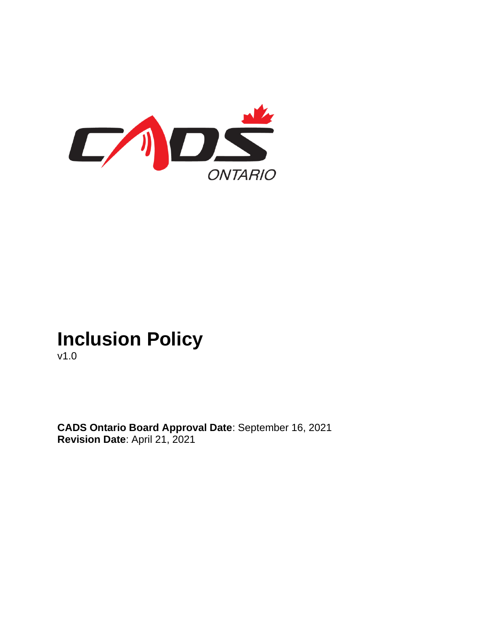

# **Inclusion Policy**

v1.0

**CADS Ontario Board Approval Date**: September 16, 2021 **Revision Date**: April 21, 2021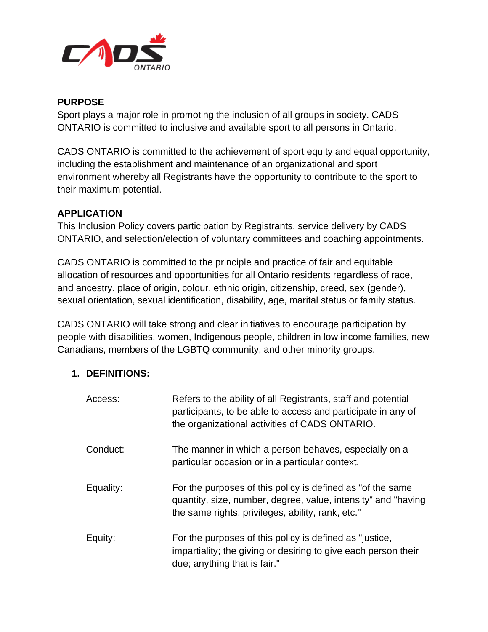

#### **PURPOSE**

Sport plays a major role in promoting the inclusion of all groups in society. CADS ONTARIO is committed to inclusive and available sport to all persons in Ontario.

CADS ONTARIO is committed to the achievement of sport equity and equal opportunity, including the establishment and maintenance of an organizational and sport environment whereby all Registrants have the opportunity to contribute to the sport to their maximum potential.

## **APPLICATION**

This Inclusion Policy covers participation by Registrants, service delivery by CADS ONTARIO, and selection/election of voluntary committees and coaching appointments.

CADS ONTARIO is committed to the principle and practice of fair and equitable allocation of resources and opportunities for all Ontario residents regardless of race, and ancestry, place of origin, colour, ethnic origin, citizenship, creed, sex (gender), sexual orientation, sexual identification, disability, age, marital status or family status.

CADS ONTARIO will take strong and clear initiatives to encourage participation by people with disabilities, women, Indigenous people, children in low income families, new Canadians, members of the LGBTQ community, and other minority groups.

## **1. DEFINITIONS:**

| Access:   | Refers to the ability of all Registrants, staff and potential<br>participants, to be able to access and participate in any of<br>the organizational activities of CADS ONTARIO.   |
|-----------|-----------------------------------------------------------------------------------------------------------------------------------------------------------------------------------|
| Conduct:  | The manner in which a person behaves, especially on a<br>particular occasion or in a particular context.                                                                          |
| Equality: | For the purposes of this policy is defined as "of the same"<br>quantity, size, number, degree, value, intensity" and "having<br>the same rights, privileges, ability, rank, etc." |
| Equity:   | For the purposes of this policy is defined as "justice,<br>impartiality; the giving or desiring to give each person their<br>due; anything that is fair."                         |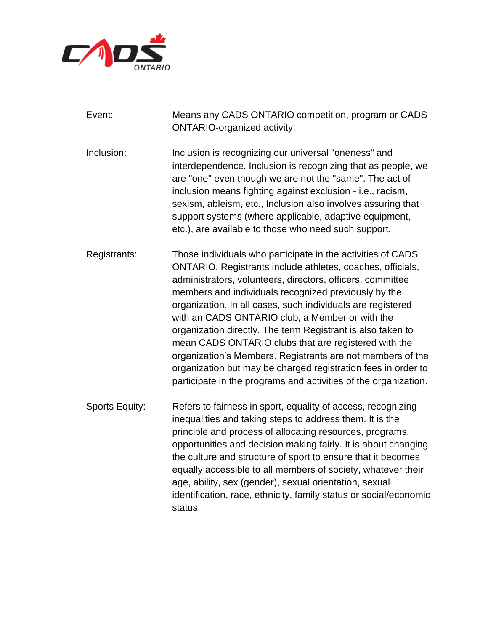

| Event:                | Means any CADS ONTARIO competition, program or CADS<br><b>ONTARIO-organized activity.</b>                                                                                                                                                                                                                                                                                                                                                                                                                                                                                                                                                                                                  |
|-----------------------|--------------------------------------------------------------------------------------------------------------------------------------------------------------------------------------------------------------------------------------------------------------------------------------------------------------------------------------------------------------------------------------------------------------------------------------------------------------------------------------------------------------------------------------------------------------------------------------------------------------------------------------------------------------------------------------------|
| Inclusion:            | Inclusion is recognizing our universal "oneness" and<br>interdependence. Inclusion is recognizing that as people, we<br>are "one" even though we are not the "same". The act of<br>inclusion means fighting against exclusion - i.e., racism,<br>sexism, ableism, etc., Inclusion also involves assuring that<br>support systems (where applicable, adaptive equipment,<br>etc.), are available to those who need such support.                                                                                                                                                                                                                                                            |
| Registrants:          | Those individuals who participate in the activities of CADS<br>ONTARIO. Registrants include athletes, coaches, officials,<br>administrators, volunteers, directors, officers, committee<br>members and individuals recognized previously by the<br>organization. In all cases, such individuals are registered<br>with an CADS ONTARIO club, a Member or with the<br>organization directly. The term Registrant is also taken to<br>mean CADS ONTARIO clubs that are registered with the<br>organization's Members. Registrants are not members of the<br>organization but may be charged registration fees in order to<br>participate in the programs and activities of the organization. |
| <b>Sports Equity:</b> | Refers to fairness in sport, equality of access, recognizing<br>inequalities and taking steps to address them. It is the<br>principle and process of allocating resources, programs,<br>opportunities and decision making fairly. It is about changing<br>the culture and structure of sport to ensure that it becomes<br>equally accessible to all members of society, whatever their<br>age, ability, sex (gender), sexual orientation, sexual<br>identification, race, ethnicity, family status or social/economic<br>status.                                                                                                                                                           |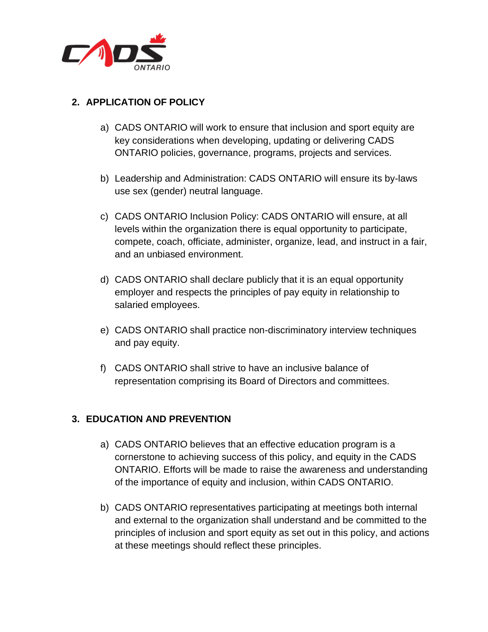

# **2. APPLICATION OF POLICY**

- a) CADS ONTARIO will work to ensure that inclusion and sport equity are key considerations when developing, updating or delivering CADS ONTARIO policies, governance, programs, projects and services.
- b) Leadership and Administration: CADS ONTARIO will ensure its by-laws use sex (gender) neutral language.
- c) CADS ONTARIO Inclusion Policy: CADS ONTARIO will ensure, at all levels within the organization there is equal opportunity to participate, compete, coach, officiate, administer, organize, lead, and instruct in a fair, and an unbiased environment.
- d) CADS ONTARIO shall declare publicly that it is an equal opportunity employer and respects the principles of pay equity in relationship to salaried employees.
- e) CADS ONTARIO shall practice non-discriminatory interview techniques and pay equity.
- f) CADS ONTARIO shall strive to have an inclusive balance of representation comprising its Board of Directors and committees.

## **3. EDUCATION AND PREVENTION**

- a) CADS ONTARIO believes that an effective education program is a cornerstone to achieving success of this policy, and equity in the CADS ONTARIO. Efforts will be made to raise the awareness and understanding of the importance of equity and inclusion, within CADS ONTARIO.
- b) CADS ONTARIO representatives participating at meetings both internal and external to the organization shall understand and be committed to the principles of inclusion and sport equity as set out in this policy, and actions at these meetings should reflect these principles.